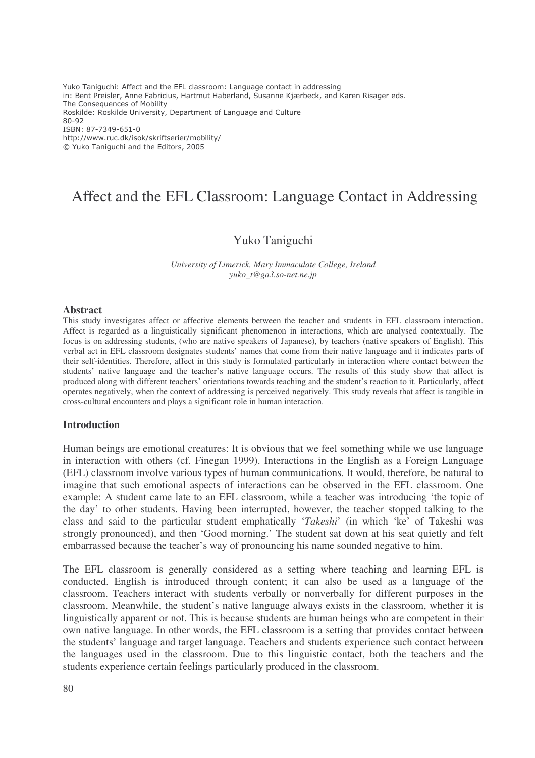Yuko Taniguchi: Affect and the EFL classroom: Language contact in addressing in: Bent Preisler, Anne Fabricius, Hartmut Haberland, Susanne Kjærbeck, and Karen Risager eds. The Consequences of Mobility Roskilde: Roskilde University, Department of Language and Culture 80-92 ISBN: 87-7349-651-0 http://www.ruc.dk/isok/skriftserier/mobility/ © Yuko Taniguchi and the Editors, 2005

# Affect and the EFL Classroom: Language Contact in Addressing

# Yuko Taniguchi

*University of Limerick, Mary Immaculate College, Ireland yuko\_t@ga3.so-net.ne.jp*

#### **Abstract**

This study investigates affect or affective elements between the teacher and students in EFL classroom interaction. Affect is regarded as a linguistically significant phenomenon in interactions, which are analysed contextually. The focus is on addressing students, (who are native speakers of Japanese), by teachers (native speakers of English). This verbal act in EFL classroom designates students' names that come from their native language and it indicates parts of their self-identities. Therefore, affect in this study is formulated particularly in interaction where contact between the students' native language and the teacher's native language occurs. The results of this study show that affect is produced along with different teachers' orientations towards teaching and the student's reaction to it. Particularly, affect operates negatively, when the context of addressing is perceived negatively. This study reveals that affect is tangible in cross-cultural encounters and plays a significant role in human interaction.

#### **Introduction**

Human beings are emotional creatures: It is obvious that we feel something while we use language in interaction with others (cf. Finegan 1999). Interactions in the English as a Foreign Language (EFL) classroom involve various types of human communications. It would, therefore, be natural to imagine that such emotional aspects of interactions can be observed in the EFL classroom. One example: A student came late to an EFL classroom, while a teacher was introducing 'the topic of the day' to other students. Having been interrupted, however, the teacher stopped talking to the class and said to the particular student emphatically '*Takeshi*' (in which 'ke' of Takeshi was strongly pronounced), and then 'Good morning.' The student sat down at his seat quietly and felt embarrassed because the teacher's way of pronouncing his name sounded negative to him.

The EFL classroom is generally considered as a setting where teaching and learning EFL is conducted. English is introduced through content; it can also be used as a language of the classroom. Teachers interact with students verbally or nonverbally for different purposes in the classroom. Meanwhile, the student's native language always exists in the classroom, whether it is linguistically apparent or not. This is because students are human beings who are competent in their own native language. In other words, the EFL classroom is a setting that provides contact between the students' language and target language. Teachers and students experience such contact between the languages used in the classroom. Due to this linguistic contact, both the teachers and the students experience certain feelings particularly produced in the classroom.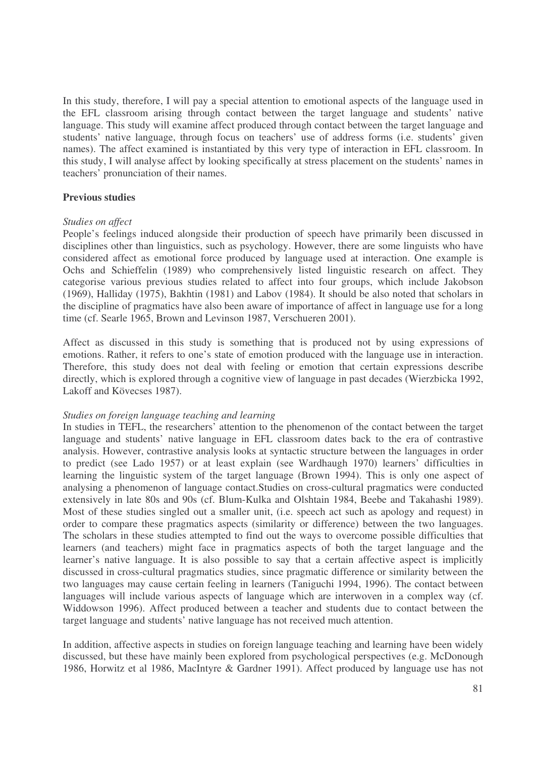In this study, therefore, I will pay a special attention to emotional aspects of the language used in the EFL classroom arising through contact between the target language and students' native language. This study will examine affect produced through contact between the target language and students' native language, through focus on teachers' use of address forms (i.e. students' given names). The affect examined is instantiated by this very type of interaction in EFL classroom. In this study, I will analyse affect by looking specifically at stress placement on the students' names in teachers' pronunciation of their names.

#### **Previous studies**

#### *Studies on affect*

People's feelings induced alongside their production of speech have primarily been discussed in disciplines other than linguistics, such as psychology. However, there are some linguists who have considered affect as emotional force produced by language used at interaction. One example is Ochs and Schieffelin (1989) who comprehensively listed linguistic research on affect. They categorise various previous studies related to affect into four groups, which include Jakobson (1969), Halliday (1975), Bakhtin (1981) and Labov (1984). It should be also noted that scholars in the discipline of pragmatics have also been aware of importance of affect in language use for a long time (cf. Searle 1965, Brown and Levinson 1987, Verschueren 2001).

Affect as discussed in this study is something that is produced not by using expressions of emotions. Rather, it refers to one's state of emotion produced with the language use in interaction. Therefore, this study does not deal with feeling or emotion that certain expressions describe directly, which is explored through a cognitive view of language in past decades (Wierzbicka 1992, Lakoff and Kövecses 1987).

#### *Studies on foreign language teaching and learning*

In studies in TEFL, the researchers' attention to the phenomenon of the contact between the target language and students' native language in EFL classroom dates back to the era of contrastive analysis. However, contrastive analysis looks at syntactic structure between the languages in order to predict (see Lado 1957) or at least explain (see Wardhaugh 1970) learners' difficulties in learning the linguistic system of the target language (Brown 1994). This is only one aspect of analysing a phenomenon of language contact.Studies on cross-cultural pragmatics were conducted extensively in late 80s and 90s (cf. Blum-Kulka and Olshtain 1984, Beebe and Takahashi 1989). Most of these studies singled out a smaller unit, (i.e. speech act such as apology and request) in order to compare these pragmatics aspects (similarity or difference) between the two languages. The scholars in these studies attempted to find out the ways to overcome possible difficulties that learners (and teachers) might face in pragmatics aspects of both the target language and the learner's native language. It is also possible to say that a certain affective aspect is implicitly discussed in cross-cultural pragmatics studies, since pragmatic difference or similarity between the two languages may cause certain feeling in learners (Taniguchi 1994, 1996). The contact between languages will include various aspects of language which are interwoven in a complex way (cf. Widdowson 1996). Affect produced between a teacher and students due to contact between the target language and students' native language has not received much attention.

In addition, affective aspects in studies on foreign language teaching and learning have been widely discussed, but these have mainly been explored from psychological perspectives (e.g. McDonough 1986, Horwitz et al 1986, MacIntyre & Gardner 1991). Affect produced by language use has not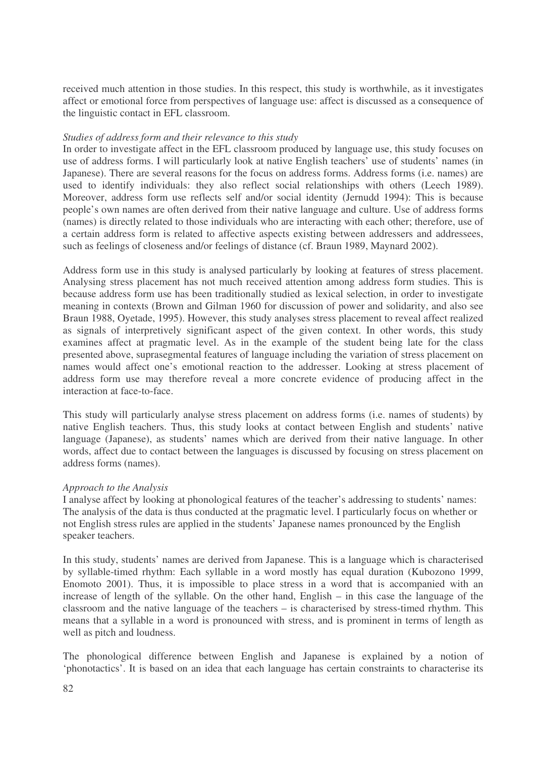received much attention in those studies. In this respect, this study is worthwhile, as it investigates affect or emotional force from perspectives of language use: affect is discussed as a consequence of the linguistic contact in EFL classroom.

#### *Studies of address form and their relevance to this study*

In order to investigate affect in the EFL classroom produced by language use, this study focuses on use of address forms. I will particularly look at native English teachers' use of students' names (in Japanese). There are several reasons for the focus on address forms. Address forms (i.e. names) are used to identify individuals: they also reflect social relationships with others (Leech 1989). Moreover, address form use reflects self and/or social identity (Jernudd 1994): This is because people's own names are often derived from their native language and culture. Use of address forms (names) is directly related to those individuals who are interacting with each other; therefore, use of a certain address form is related to affective aspects existing between addressers and addressees, such as feelings of closeness and/or feelings of distance (cf. Braun 1989, Maynard 2002).

Address form use in this study is analysed particularly by looking at features of stress placement. Analysing stress placement has not much received attention among address form studies. This is because address form use has been traditionally studied as lexical selection, in order to investigate meaning in contexts (Brown and Gilman 1960 for discussion of power and solidarity, and also see Braun 1988, Oyetade, 1995). However, this study analyses stress placement to reveal affect realized as signals of interpretively significant aspect of the given context. In other words, this study examines affect at pragmatic level. As in the example of the student being late for the class presented above, suprasegmental features of language including the variation of stress placement on names would affect one's emotional reaction to the addresser. Looking at stress placement of address form use may therefore reveal a more concrete evidence of producing affect in the interaction at face-to-face.

This study will particularly analyse stress placement on address forms (i.e. names of students) by native English teachers. Thus, this study looks at contact between English and students' native language (Japanese), as students' names which are derived from their native language. In other words, affect due to contact between the languages is discussed by focusing on stress placement on address forms (names).

#### *Approach to the Analysis*

I analyse affect by looking at phonological features of the teacher's addressing to students' names: The analysis of the data is thus conducted at the pragmatic level. I particularly focus on whether or not English stress rules are applied in the students' Japanese names pronounced by the English speaker teachers.

In this study, students' names are derived from Japanese. This is a language which is characterised by syllable-timed rhythm: Each syllable in a word mostly has equal duration (Kubozono 1999, Enomoto 2001). Thus, it is impossible to place stress in a word that is accompanied with an increase of length of the syllable. On the other hand, English – in this case the language of the classroom and the native language of the teachers – is characterised by stress-timed rhythm. This means that a syllable in a word is pronounced with stress, and is prominent in terms of length as well as pitch and loudness.

The phonological difference between English and Japanese is explained by a notion of 'phonotactics'. It is based on an idea that each language has certain constraints to characterise its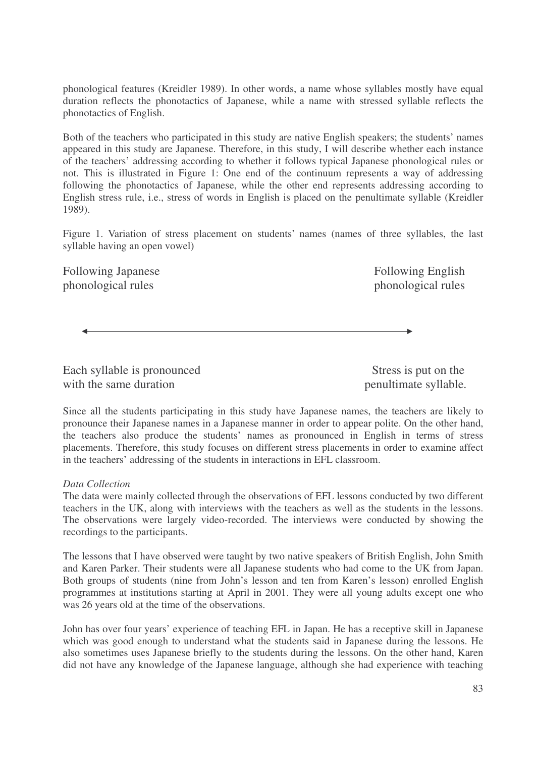phonological features (Kreidler 1989). In other words, a name whose syllables mostly have equal duration reflects the phonotactics of Japanese, while a name with stressed syllable reflects the phonotactics of English.

Both of the teachers who participated in this study are native English speakers; the students' names appeared in this study are Japanese. Therefore, in this study, I will describe whether each instance of the teachers' addressing according to whether it follows typical Japanese phonological rules or not. This is illustrated in Figure 1: One end of the continuum represents a way of addressing following the phonotactics of Japanese, while the other end represents addressing according to English stress rule, i.e., stress of words in English is placed on the penultimate syllable (Kreidler 1989).

Figure 1. Variation of stress placement on students' names (names of three syllables, the last syllable having an open vowel)

Following Japanese Following English phonological rules phonological rules

Each syllable is pronounced Stress is put on the with the same duration penultimate syllable.

Since all the students participating in this study have Japanese names, the teachers are likely to pronounce their Japanese names in a Japanese manner in order to appear polite. On the other hand, the teachers also produce the students' names as pronounced in English in terms of stress placements. Therefore, this study focuses on different stress placements in order to examine affect in the teachers' addressing of the students in interactions in EFL classroom.

## *Data Collection*

The data were mainly collected through the observations of EFL lessons conducted by two different teachers in the UK, along with interviews with the teachers as well as the students in the lessons. The observations were largely video-recorded. The interviews were conducted by showing the recordings to the participants.

The lessons that I have observed were taught by two native speakers of British English, John Smith and Karen Parker. Their students were all Japanese students who had come to the UK from Japan. Both groups of students (nine from John's lesson and ten from Karen's lesson) enrolled English programmes at institutions starting at April in 2001. They were all young adults except one who was 26 years old at the time of the observations.

John has over four years' experience of teaching EFL in Japan. He has a receptive skill in Japanese which was good enough to understand what the students said in Japanese during the lessons. He also sometimes uses Japanese briefly to the students during the lessons. On the other hand, Karen did not have any knowledge of the Japanese language, although she had experience with teaching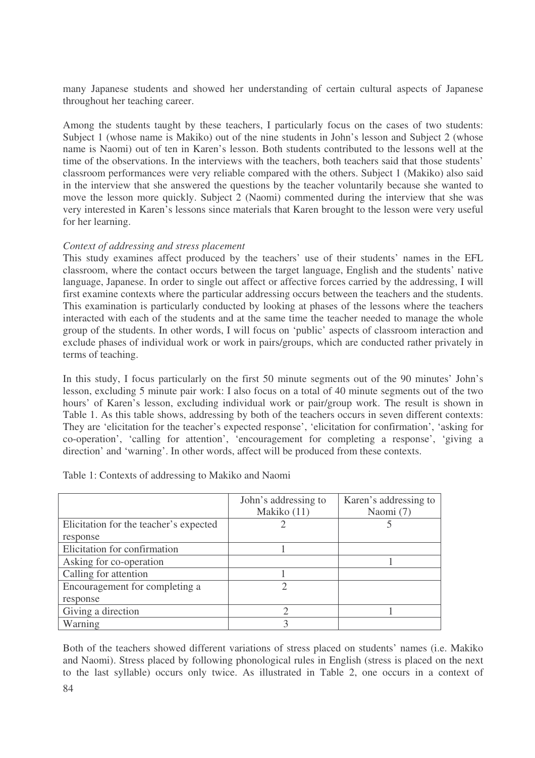many Japanese students and showed her understanding of certain cultural aspects of Japanese throughout her teaching career.

Among the students taught by these teachers, I particularly focus on the cases of two students: Subject 1 (whose name is Makiko) out of the nine students in John's lesson and Subject 2 (whose name is Naomi) out of ten in Karen's lesson. Both students contributed to the lessons well at the time of the observations. In the interviews with the teachers, both teachers said that those students' classroom performances were very reliable compared with the others. Subject 1 (Makiko) also said in the interview that she answered the questions by the teacher voluntarily because she wanted to move the lesson more quickly. Subject 2 (Naomi) commented during the interview that she was very interested in Karen's lessons since materials that Karen brought to the lesson were very useful for her learning.

#### *Context of addressing and stress placement*

This study examines affect produced by the teachers' use of their students' names in the EFL classroom, where the contact occurs between the target language, English and the students' native language, Japanese. In order to single out affect or affective forces carried by the addressing, I will first examine contexts where the particular addressing occurs between the teachers and the students. This examination is particularly conducted by looking at phases of the lessons where the teachers interacted with each of the students and at the same time the teacher needed to manage the whole group of the students. In other words, I will focus on 'public' aspects of classroom interaction and exclude phases of individual work or work in pairs/groups, which are conducted rather privately in terms of teaching.

In this study, I focus particularly on the first 50 minute segments out of the 90 minutes' John's lesson, excluding 5 minute pair work: I also focus on a total of 40 minute segments out of the two hours' of Karen's lesson, excluding individual work or pair/group work. The result is shown in Table 1. As this table shows, addressing by both of the teachers occurs in seven different contexts: They are 'elicitation for the teacher's expected response', 'elicitation for confirmation', 'asking for co-operation', 'calling for attention', 'encouragement for completing a response', 'giving a direction' and 'warning'. In other words, affect will be produced from these contexts.

|                                        | John's addressing to | Karen's addressing to |
|----------------------------------------|----------------------|-----------------------|
|                                        | Makiko (11)          | Naomi (7)             |
| Elicitation for the teacher's expected |                      |                       |
| response                               |                      |                       |
| Elicitation for confirmation           |                      |                       |
| Asking for co-operation                |                      |                       |
| Calling for attention                  |                      |                       |
| Encouragement for completing a         |                      |                       |
| response                               |                      |                       |
| Giving a direction                     |                      |                       |
| Warning                                |                      |                       |

Table 1: Contexts of addressing to Makiko and Naomi

Both of the teachers showed different variations of stress placed on students' names (i.e. Makiko and Naomi). Stress placed by following phonological rules in English (stress is placed on the next to the last syllable) occurs only twice. As illustrated in Table 2, one occurs in a context of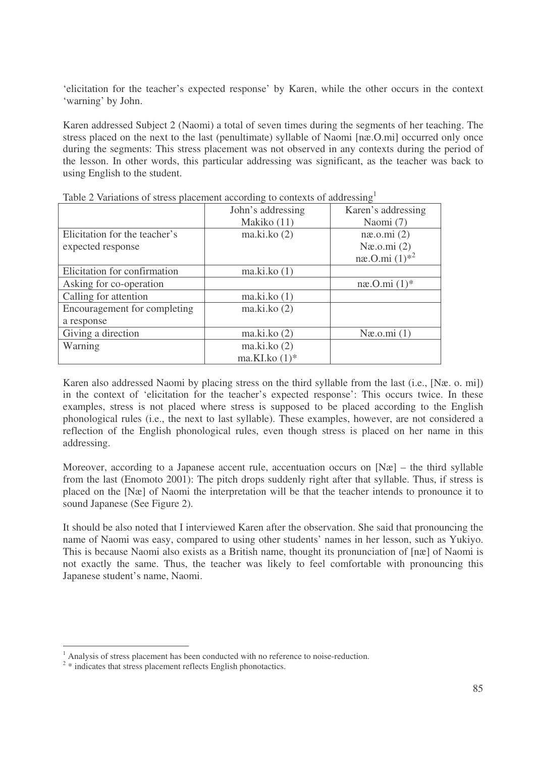'elicitation for the teacher's expected response' by Karen, while the other occurs in the context 'warning' by John.

Karen addressed Subject 2 (Naomi) a total of seven times during the segments of her teaching. The stress placed on the next to the last (penultimate) syllable of Naomi [næ.O.mi] occurred only once during the segments: This stress placement was not observed in any contexts during the period of the lesson. In other words, this particular addressing was significant, as the teacher was back to using English to the student.

|                               | John's addressing | Karen's addressing        |
|-------------------------------|-------------------|---------------------------|
|                               | Makiko (11)       | Naomi (7)                 |
| Elicitation for the teacher's | ma.ki.ko(2)       | næ.o.mi(2)                |
| expected response             |                   | Næ.o.mi $(2)$             |
|                               |                   | næ.O.mi $(1)^{*2}$        |
| Elicitation for confirmation  | ma.ki.ko(1)       |                           |
| Asking for co-operation       |                   | $n\mathfrak{B}.0.mi(1)^*$ |
| Calling for attention         | ma.ki.ko(1)       |                           |
| Encouragement for completing  | ma.ki.ko(2)       |                           |
| a response                    |                   |                           |
| Giving a direction            | ma.ki.ko(2)       | Næ.o.mi(1)                |
| Warning                       | ma.ki.ko(2)       |                           |
|                               | ma.KI.ko $(1)$ *  |                           |

Table 2 Variations of stress placement according to contexts of addressing<sup>1</sup>

Karen also addressed Naomi by placing stress on the third syllable from the last (i.e., [Næ. o. mi]) in the context of 'elicitation for the teacher's expected response': This occurs twice. In these examples, stress is not placed where stress is supposed to be placed according to the English phonological rules (i.e., the next to last syllable). These examples, however, are not considered a reflection of the English phonological rules, even though stress is placed on her name in this addressing.

Moreover, according to a Japanese accent rule, accentuation occurs on  $[N\alpha]$  – the third syllable from the last (Enomoto 2001): The pitch drops suddenly right after that syllable. Thus, if stress is placed on the [Næ] of Naomi the interpretation will be that the teacher intends to pronounce it to sound Japanese (See Figure 2).

It should be also noted that I interviewed Karen after the observation. She said that pronouncing the name of Naomi was easy, compared to using other students' names in her lesson, such as Yukiyo. This is because Naomi also exists as a British name, thought its pronunciation of [næ] of Naomi is not exactly the same. Thus, the teacher was likely to feel comfortable with pronouncing this Japanese student's name, Naomi.

<sup>&</sup>lt;sup>1</sup> Analysis of stress placement has been conducted with no reference to noise-reduction.

<sup>&</sup>lt;sup>2</sup> \* indicates that stress placement reflects English phonotactics.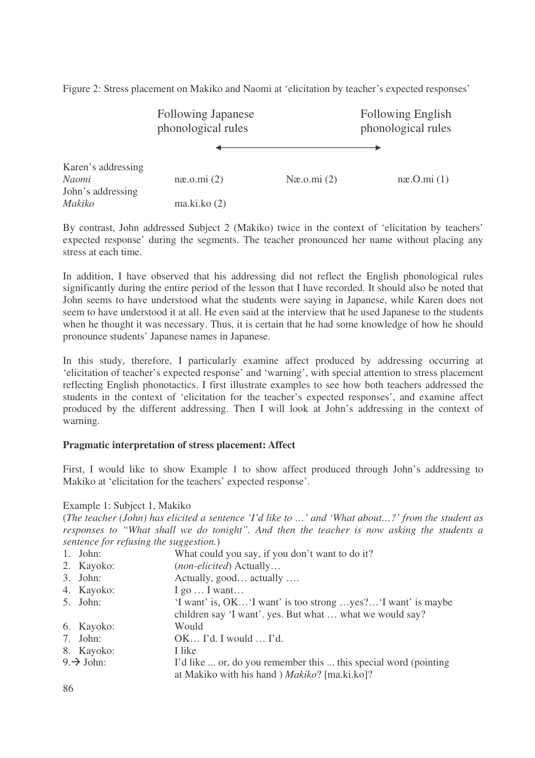Figure 2: Stress placement on Makiko and Naomi at 'elicitation by teacher's expected responses'

|                                                  | <b>Following Japanese</b><br>phonological rules |               | <b>Following English</b><br>phonological rules |
|--------------------------------------------------|-------------------------------------------------|---------------|------------------------------------------------|
|                                                  |                                                 |               |                                                |
| Karen's addressing<br>Naomi<br>John's addressing | næ.o.mi(2)                                      | Næ.o.mi $(2)$ | $n\mathfrak{B}$ . $O$ . $mi(1)$                |
| Makiko                                           | ma.ki.ko(2)                                     |               |                                                |

By contrast, John addressed Subject 2 (Makiko) twice in the context of 'elicitation by teachers' expected response' during the segments. The teacher pronounced her name without placing any stress at each time.

In addition, I have observed that his addressing did not reflect the English phonological rules significantly during the entire period of the lesson that I have recorded. It should also be noted that John seems to have understood what the students were saying in Japanese, while Karen does not seem to have understood it at all. He even said at the interview that he used Japanese to the students when he thought it was necessary. Thus, it is certain that he had some knowledge of how he should pronounce students' Japanese names in Japanese.

In this study, therefore, I particularly examine affect produced by addressing occurring at 'elicitation of teacher's expected response' and 'warning', with special attention to stress placement reflecting English phonotactics. I first illustrate examples to see how both teachers addressed the students in the context of 'elicitation for the teacher's expected responses', and examine affect produced by the different addressing. Then I will look at John's addressing in the context of warning.

# **Pragmatic interpretation of stress placement: Affect**

First, I would like to show Example 1 to show affect produced through John's addressing to Makiko at 'elicitation for the teachers' expected response'.

Example 1: Subject 1, Makiko

(*The teacher (John) has elicited a sentence 'I'd like to …' and 'What about…?' from the student as responses to "What shall we do tonight". And then the teacher is now asking the students a sentence for refusing the suggestion.*)

| $1.$ John:             | What could you say, if you don't want to do it?                 |
|------------------------|-----------------------------------------------------------------|
| 2. Kayoko:             | (non-elicited) Actually                                         |
| $3.$ John:             | Actually, good actually                                         |
| 4. Kayoko:             | $I$ go $\ldots$ I want                                          |
| 5. John:               | 'I want' is, OK 'I want' is too strong yes? 'I want' is maybe   |
|                        | children say 'I want'. yes. But what  what we would say?        |
| 6. Kayoko:             | Would                                                           |
| 7. John:               | $OK$ I'd. I would $$ I'd.                                       |
| 8. Kayoko:             | I like                                                          |
| $9. \rightarrow$ John: | I'd like  or, do you remember this  this special word (pointing |
|                        | at Makiko with his hand ) Makiko? [ma.ki.ko]?                   |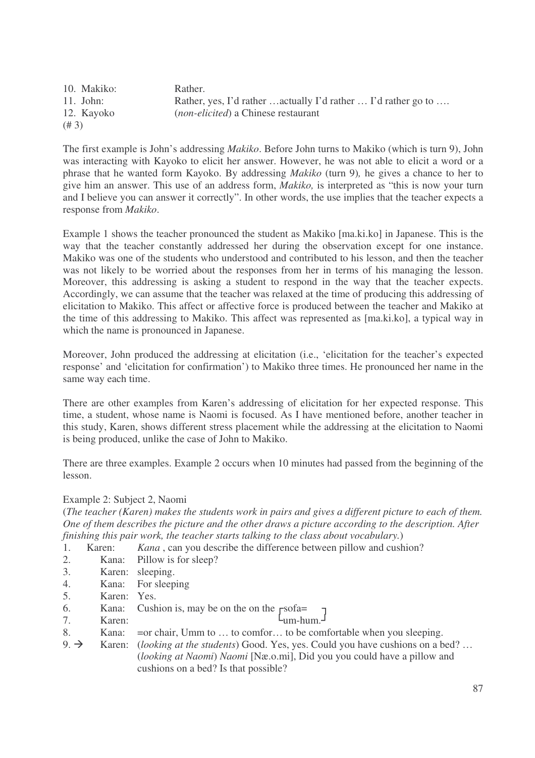| 10. Makiko: | Rather.                                                       |
|-------------|---------------------------------------------------------------|
| $11.$ John: | Rather, yes, I'd rather actually I'd rather  I'd rather go to |
| 12. Kayoko  | <i>(non-elicited)</i> a Chinese restaurant                    |
| (# 3)       |                                                               |

The first example is John's addressing *Makiko*. Before John turns to Makiko (which is turn 9), John was interacting with Kayoko to elicit her answer. However, he was not able to elicit a word or a phrase that he wanted form Kayoko. By addressing *Makiko* (turn 9)*,* he gives a chance to her to give him an answer. This use of an address form, *Makiko,* is interpreted as "this is now your turn and I believe you can answer it correctly". In other words, the use implies that the teacher expects a response from *Makiko*.

Example 1 shows the teacher pronounced the student as Makiko [ma.ki.ko] in Japanese. This is the way that the teacher constantly addressed her during the observation except for one instance. Makiko was one of the students who understood and contributed to his lesson, and then the teacher was not likely to be worried about the responses from her in terms of his managing the lesson. Moreover, this addressing is asking a student to respond in the way that the teacher expects. Accordingly, we can assume that the teacher was relaxed at the time of producing this addressing of elicitation to Makiko. This affect or affective force is produced between the teacher and Makiko at the time of this addressing to Makiko. This affect was represented as [ma.ki.ko], a typical way in which the name is pronounced in Japanese.

Moreover, John produced the addressing at elicitation (i.e., 'elicitation for the teacher's expected response' and 'elicitation for confirmation') to Makiko three times. He pronounced her name in the same way each time.

There are other examples from Karen's addressing of elicitation for her expected response. This time, a student, whose name is Naomi is focused. As I have mentioned before, another teacher in this study, Karen, shows different stress placement while the addressing at the elicitation to Naomi is being produced, unlike the case of John to Makiko.

There are three examples. Example 2 occurs when 10 minutes had passed from the beginning of the lesson.

## Example 2: Subject 2, Naomi

(The teacher (Karen) makes the students work in pairs and gives a different picture to each of them. *One of them describes the picture and the other draws a picture according to the description. After finishing this pair work, the teacher starts talking to the class about vocabulary.*)

1. Karen: *Kana* , can you describe the difference between pillow and cushion?

- 2. Kana: Pillow is for sleep?
- 3. Karen: sleeping.
- 4. Kana: For sleeping
- 5. Karen: Yes.
- 6. Kana: Cushion is, may be on the on the  $r = s$
- 7. Karen: Um-hum.
- 8. Kana: = or chair, Umm to ... to comfor... to be comfortable when you sleeping.
- 9. Karen: (*looking at the students*) Good. Yes, yes. Could you have cushions on a bed? … (*looking at Naomi*) *Naomi* [Næ.o.mi], Did you you could have a pillow and cushions on a bed? Is that possible?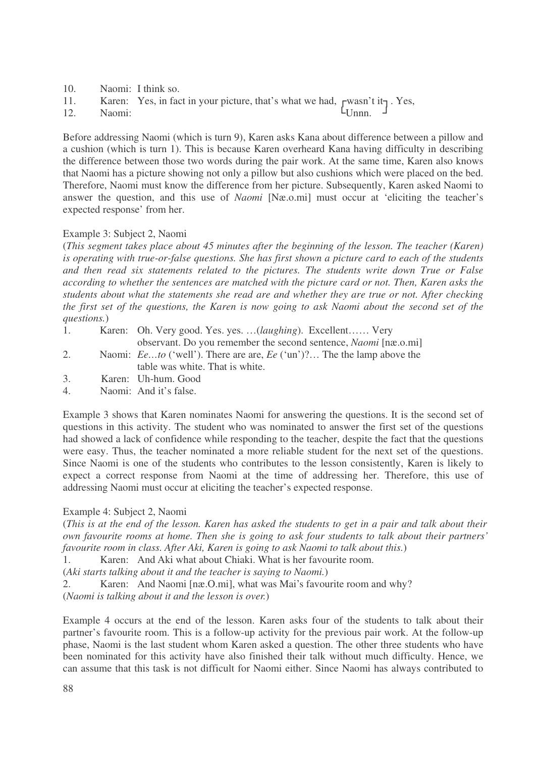- 10. Naomi: I think so.
- 11. Karen: Yes, in fact in your picture, that's what we had,  $\Gamma$ wasn't it $\Gamma$ . Yes,
- 12. Naomi: LUnnn. J

Before addressing Naomi (which is turn 9), Karen asks Kana about difference between a pillow and a cushion (which is turn 1). This is because Karen overheard Kana having difficulty in describing the difference between those two words during the pair work. At the same time, Karen also knows that Naomi has a picture showing not only a pillow but also cushions which were placed on the bed. Therefore, Naomi must know the difference from her picture. Subsequently, Karen asked Naomi to answer the question, and this use of *Naomi* [Næ.o.mi] must occur at 'eliciting the teacher's expected response' from her.

## Example 3: Subject 2, Naomi

(*This segment takes place about 45 minutes after the beginning of the lesson. The teacher (Karen) is operating with true-or-false questions. She has first shown a picture card to each of the students and then read six statements related to the pictures. The students write down True or False according to whether the sentences are matched with the picture card or not. Then, Karen asks the students about what the statements she read are and whether they are true or not. After checking* the first set of the questions, the Karen is now going to ask Naomi about the second set of the *questions.*)

- 1. Karen: Oh. Very good. Yes. yes. …(*laughing*). Excellent…… Very observant. Do you remember the second sentence, *Naomi* [næ.o.mi]
- 2. Naomi: *Ee…to* ('well'). There are are, *Ee* ('un')?… The the lamp above the table was white. That is white.
- 3. Karen: Uh-hum. Good
- 4. Naomi: And it's false.

Example 3 shows that Karen nominates Naomi for answering the questions. It is the second set of questions in this activity. The student who was nominated to answer the first set of the questions had showed a lack of confidence while responding to the teacher, despite the fact that the questions were easy. Thus, the teacher nominated a more reliable student for the next set of the questions. Since Naomi is one of the students who contributes to the lesson consistently, Karen is likely to expect a correct response from Naomi at the time of addressing her. Therefore, this use of addressing Naomi must occur at eliciting the teacher's expected response.

## Example 4: Subject 2, Naomi

(This is at the end of the lesson. Karen has asked the students to get in a pair and talk about their *own favourite rooms at home. Then she is going to ask four students to talk about their partners' favourite room in class. After Aki, Karen is going to ask Naomi to talk about this.*)

1. Karen: And Aki what about Chiaki. What is her favourite room.

(*Aki starts talking about it and the teacher is saying to Naomi.*)

2. Karen: And Naomi [næ.O.mi], what was Mai's favourite room and why?

(*Naomi is talking about it and the lesson is over.*)

Example 4 occurs at the end of the lesson. Karen asks four of the students to talk about their partner's favourite room. This is a follow-up activity for the previous pair work. At the follow-up phase, Naomi is the last student whom Karen asked a question. The other three students who have been nominated for this activity have also finished their talk without much difficulty. Hence, we can assume that this task is not difficult for Naomi either. Since Naomi has always contributed to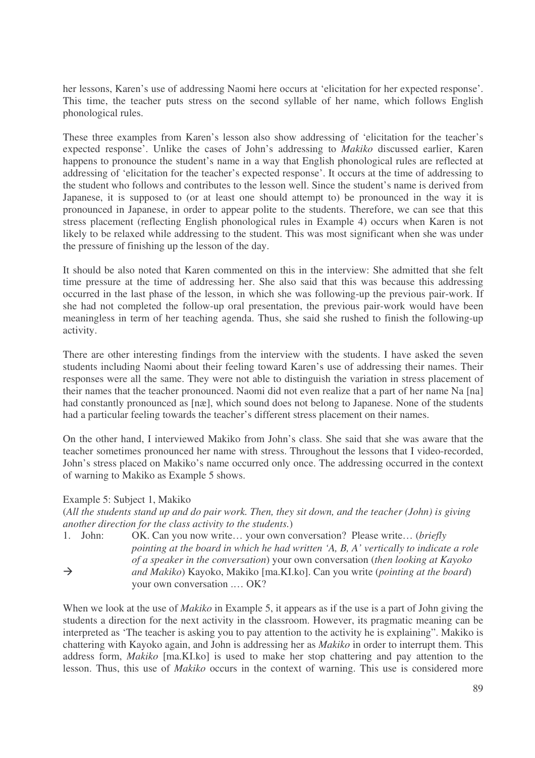her lessons, Karen's use of addressing Naomi here occurs at 'elicitation for her expected response'. This time, the teacher puts stress on the second syllable of her name, which follows English phonological rules.

These three examples from Karen's lesson also show addressing of 'elicitation for the teacher's expected response'. Unlike the cases of John's addressing to *Makiko* discussed earlier, Karen happens to pronounce the student's name in a way that English phonological rules are reflected at addressing of 'elicitation for the teacher's expected response'. It occurs at the time of addressing to the student who follows and contributes to the lesson well. Since the student's name is derived from Japanese, it is supposed to (or at least one should attempt to) be pronounced in the way it is pronounced in Japanese, in order to appear polite to the students. Therefore, we can see that this stress placement (reflecting English phonological rules in Example 4) occurs when Karen is not likely to be relaxed while addressing to the student. This was most significant when she was under the pressure of finishing up the lesson of the day.

It should be also noted that Karen commented on this in the interview: She admitted that she felt time pressure at the time of addressing her. She also said that this was because this addressing occurred in the last phase of the lesson, in which she was following-up the previous pair-work. If she had not completed the follow-up oral presentation, the previous pair-work would have been meaningless in term of her teaching agenda. Thus, she said she rushed to finish the following-up activity.

There are other interesting findings from the interview with the students. I have asked the seven students including Naomi about their feeling toward Karen's use of addressing their names. Their responses were all the same. They were not able to distinguish the variation in stress placement of their names that the teacher pronounced. Naomi did not even realize that a part of her name Na [na] had constantly pronounced as [næ], which sound does not belong to Japanese. None of the students had a particular feeling towards the teacher's different stress placement on their names.

On the other hand, I interviewed Makiko from John's class. She said that she was aware that the teacher sometimes pronounced her name with stress. Throughout the lessons that I video-recorded, John's stress placed on Makiko's name occurred only once. The addressing occurred in the context of warning to Makiko as Example 5 shows.

## Example 5: Subject 1, Makiko

(All the students stand up and do pair work. Then, they sit down, and the teacher (John) is giving *another direction for the class activity to the students.*)

1. John: OK. Can you now write… your own conversation? Please write… (*briefly pointing at the board in which he had written 'A, B, A' vertically to indicate a role of a speaker in the conversation*) your own conversation (*then looking at Kayoko and Makiko*) Kayoko, Makiko [ma.KI.ko]. Can you write (*pointing at the board*) your own conversation .… OK?

When we look at the use of *Makiko* in Example 5, it appears as if the use is a part of John giving the students a direction for the next activity in the classroom. However, its pragmatic meaning can be interpreted as 'The teacher is asking you to pay attention to the activity he is explaining". Makiko is chattering with Kayoko again, and John is addressing her as *Makiko* in order to interrupt them. This address form, *Makiko* [ma.KI.ko] is used to make her stop chattering and pay attention to the lesson. Thus, this use of *Makiko* occurs in the context of warning. This use is considered more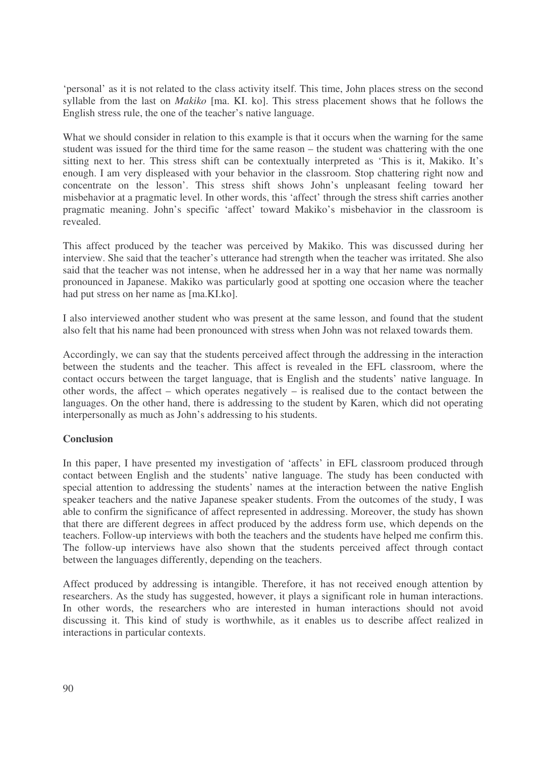'personal' as it is not related to the class activity itself. This time, John places stress on the second syllable from the last on *Makiko* [ma. KI. ko]. This stress placement shows that he follows the English stress rule, the one of the teacher's native language.

What we should consider in relation to this example is that it occurs when the warning for the same student was issued for the third time for the same reason – the student was chattering with the one sitting next to her. This stress shift can be contextually interpreted as 'This is it, Makiko. It's enough. I am very displeased with your behavior in the classroom. Stop chattering right now and concentrate on the lesson'. This stress shift shows John's unpleasant feeling toward her misbehavior at a pragmatic level. In other words, this 'affect' through the stress shift carries another pragmatic meaning. John's specific 'affect' toward Makiko's misbehavior in the classroom is revealed.

This affect produced by the teacher was perceived by Makiko. This was discussed during her interview. She said that the teacher's utterance had strength when the teacher was irritated. She also said that the teacher was not intense, when he addressed her in a way that her name was normally pronounced in Japanese. Makiko was particularly good at spotting one occasion where the teacher had put stress on her name as [ma.KI.ko].

I also interviewed another student who was present at the same lesson, and found that the student also felt that his name had been pronounced with stress when John was not relaxed towards them.

Accordingly, we can say that the students perceived affect through the addressing in the interaction between the students and the teacher. This affect is revealed in the EFL classroom, where the contact occurs between the target language, that is English and the students' native language. In other words, the affect – which operates negatively – is realised due to the contact between the languages. On the other hand, there is addressing to the student by Karen, which did not operating interpersonally as much as John's addressing to his students.

## **Conclusion**

In this paper, I have presented my investigation of 'affects' in EFL classroom produced through contact between English and the students' native language. The study has been conducted with special attention to addressing the students' names at the interaction between the native English speaker teachers and the native Japanese speaker students. From the outcomes of the study, I was able to confirm the significance of affect represented in addressing. Moreover, the study has shown that there are different degrees in affect produced by the address form use, which depends on the teachers. Follow-up interviews with both the teachers and the students have helped me confirm this. The follow-up interviews have also shown that the students perceived affect through contact between the languages differently, depending on the teachers.

Affect produced by addressing is intangible. Therefore, it has not received enough attention by researchers. As the study has suggested, however, it plays a significant role in human interactions. In other words, the researchers who are interested in human interactions should not avoid discussing it. This kind of study is worthwhile, as it enables us to describe affect realized in interactions in particular contexts.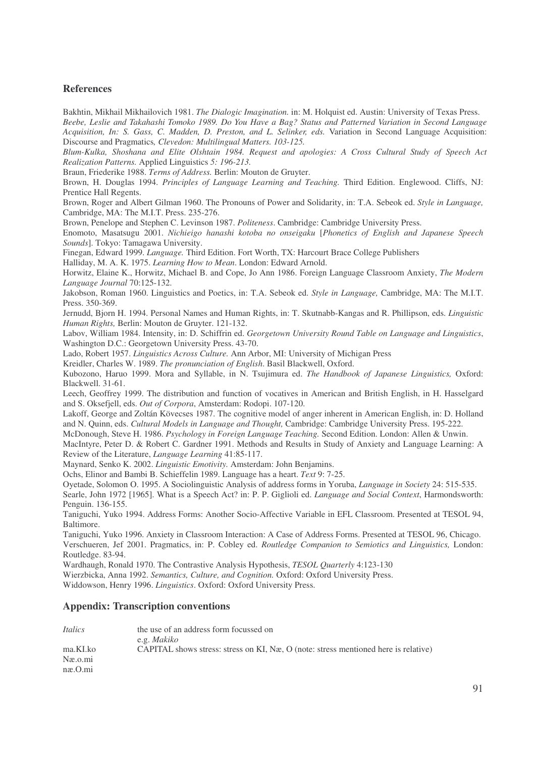#### **References**

Bakhtin, Mikhail Mikhailovich 1981. *The Dialogic Imagination.* in: M. Holquist ed. Austin: University of Texas Press.

Beebe, Leslie and Takahashi Tomoko 1989. Do You Have a Bag? Status and Patterned Variation in Second Language *Acquisition, In: S. Gass, C. Madden, D. Preston, and L. Selinker, eds.* Variation in Second Language Acquisition: Discourse and Pragmatics*, Clevedon: Multilingual Matters. 103-125.*

*Blum-Kulka, Shoshana and Elite Olshtain 1984. Request and apologies: A Cross Cultural Study of Speech Act Realization Patterns.* Applied Linguistics *5: 196-213.*

Braun, Friederike 1988. *Terms of Address.* Berlin: Mouton de Gruyter.

Brown, H. Douglas 1994. *Principles of Language Learning and Teaching.* Third Edition. Englewood. Cliffs, NJ: Prentice Hall Regents.

Brown, Roger and Albert Gilman 1960. The Pronouns of Power and Solidarity, in: T.A. Sebeok ed. *Style in Language,* Cambridge, MA: The M.I.T. Press. 235-276.

Brown, Penelope and Stephen C. Levinson 1987. *Politeness*. Cambridge: Cambridge University Press.

Enomoto, Masatsugu 2001. *Nichieigo hanashi kotoba no onseigaku* [*Phonetics of English and Japanese Speech Sounds*]. Tokyo: Tamagawa University.

Finegan, Edward 1999. *Language.* Third Edition. Fort Worth, TX: Harcourt Brace College Publishers

Halliday, M. A. K. 1975. *Learning How to Mean*. London: Edward Arnold.

Horwitz, Elaine K., Horwitz, Michael B. and Cope, Jo Ann 1986. Foreign Language Classroom Anxiety, *The Modern Language Journal* 70:125-132.

Jakobson, Roman 1960. Linguistics and Poetics, in: T.A. Sebeok ed. *Style in Language,* Cambridge, MA: The M.I.T. Press. 350-369.

Jernudd, Bjorn H. 1994. Personal Names and Human Rights, in: T. Skutnabb-Kangas and R. Phillipson, eds. *Linguistic Human Rights,* Berlin: Mouton de Gruyter. 121-132.

Labov, William 1984. Intensity, in: D. Schiffrin ed. *Georgetown University Round Table on Language and Linguistics*, Washington D.C.: Georgetown University Press. 43-70.

Lado, Robert 1957. *Linguistics Across Culture.* Ann Arbor, MI: University of Michigan Press

Kreidler, Charles W. 1989. *The pronunciation of English*. Basil Blackwell, Oxford.

Kubozono, Haruo 1999. Mora and Syllable, in N. Tsujimura ed. *The Handbook of Japanese Linguistics,* Oxford: Blackwell. 31-61.

Leech, Geoffrey 1999. The distribution and function of vocatives in American and British English, in H. Hasselgard and S. Oksefjell, eds. *Out of Corpora*, Amsterdam: Rodopi. 107-120.

Lakoff, George and Zoltán Kövecses 1987. The cognitive model of anger inherent in American English, in: D. Holland and N. Quinn, eds. *Cultural Models in Language and Thought,* Cambridge: Cambridge University Press. 195-222.

McDonough, Steve H. 1986. *Psychology in Foreign Language Teaching.* Second Edition. London: Allen & Unwin.

MacIntyre, Peter D. & Robert C. Gardner 1991. Methods and Results in Study of Anxiety and Language Learning: A Review of the Literature, *Language Learning* 41:85-117.

Maynard, Senko K. 2002. *Linguistic Emotivity.* Amsterdam: John Benjamins.

Ochs, Elinor and Bambi B. Schieffelin 1989. Language has a heart. *Text* 9: 7-25.

Oyetade, Solomon O. 1995. A Sociolinguistic Analysis of address forms in Yoruba, *Language in Society* 24: 515-535.

Searle, John 1972 [1965]. What is a Speech Act? in: P. P. Giglioli ed. *Language and Social Context*, Harmondsworth: Penguin. 136-155.

Taniguchi, Yuko 1994. Address Forms: Another Socio-Affective Variable in EFL Classroom. Presented at TESOL 94, Baltimore.

Taniguchi, Yuko 1996. Anxiety in Classroom Interaction: A Case of Address Forms. Presented at TESOL 96, Chicago. Verschueren, Jef 2001. Pragmatics, in: P. Cobley ed. *Routledge Companion to Semiotics and Linguistics,* London: Routledge. 83-94.

Wardhaugh, Ronald 1970. The Contrastive Analysis Hypothesis, *TESOL Quarterly* 4:123-130

Wierzbicka, Anna 1992. *Semantics, Culture, and Cognition.* Oxford: Oxford University Press.

Widdowson, Henry 1996. *Linguistics*. Oxford: Oxford University Press.

#### **Appendix: Transcription conventions**

| <i>Italics</i> | the use of an address form focussed on                                              |
|----------------|-------------------------------------------------------------------------------------|
|                | e.g. <i>Makiko</i>                                                                  |
| ma.KI.ko       | CAPITAL shows stress: stress on KI, Næ, O (note: stress mentioned here is relative) |
| Næ.o.mi        |                                                                                     |
| næ. O.mi       |                                                                                     |